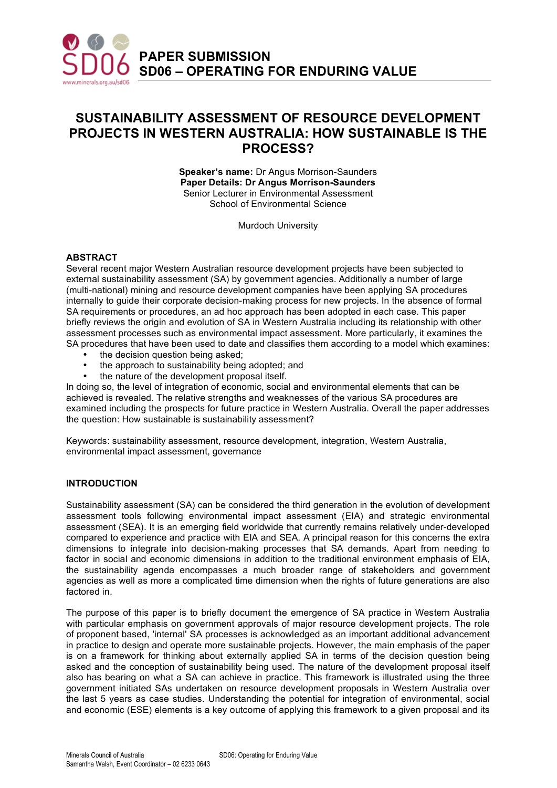

# **SUSTAINABILITY ASSESSMENT OF RESOURCE DEVELOPMENT PROJECTS IN WESTERN AUSTRALIA: HOW SUSTAINABLE IS THE PROCESS?**

**Speaker's name:** Dr Angus Morrison-Saunders **Paper Details: Dr Angus Morrison-Saunders** Senior Lecturer in Environmental Assessment School of Environmental Science

Murdoch University

## **ABSTRACT**

Several recent major Western Australian resource development projects have been subjected to external sustainability assessment (SA) by government agencies. Additionally a number of large (multi-national) mining and resource development companies have been applying SA procedures internally to guide their corporate decision-making process for new projects. In the absence of formal SA requirements or procedures, an ad hoc approach has been adopted in each case. This paper briefly reviews the origin and evolution of SA in Western Australia including its relationship with other assessment processes such as environmental impact assessment. More particularly, it examines the SA procedures that have been used to date and classifies them according to a model which examines:

- the decision question being asked;<br>• the approach to sustainability being
- the approach to sustainability being adopted; and
- the nature of the development proposal itself.

In doing so, the level of integration of economic, social and environmental elements that can be achieved is revealed. The relative strengths and weaknesses of the various SA procedures are examined including the prospects for future practice in Western Australia. Overall the paper addresses the question: How sustainable is sustainability assessment?

Keywords: sustainability assessment, resource development, integration, Western Australia, environmental impact assessment, governance

## **INTRODUCTION**

Sustainability assessment (SA) can be considered the third generation in the evolution of development assessment tools following environmental impact assessment (EIA) and strategic environmental assessment (SEA). It is an emerging field worldwide that currently remains relatively under-developed compared to experience and practice with EIA and SEA. A principal reason for this concerns the extra dimensions to integrate into decision-making processes that SA demands. Apart from needing to factor in social and economic dimensions in addition to the traditional environment emphasis of EIA, the sustainability agenda encompasses a much broader range of stakeholders and government agencies as well as more a complicated time dimension when the rights of future generations are also factored in.

The purpose of this paper is to briefly document the emergence of SA practice in Western Australia with particular emphasis on government approvals of major resource development projects. The role of proponent based, 'internal' SA processes is acknowledged as an important additional advancement in practice to design and operate more sustainable projects. However, the main emphasis of the paper is on a framework for thinking about externally applied SA in terms of the decision question being asked and the conception of sustainability being used. The nature of the development proposal itself also has bearing on what a SA can achieve in practice. This framework is illustrated using the three government initiated SAs undertaken on resource development proposals in Western Australia over the last 5 years as case studies. Understanding the potential for integration of environmental, social and economic (ESE) elements is a key outcome of applying this framework to a given proposal and its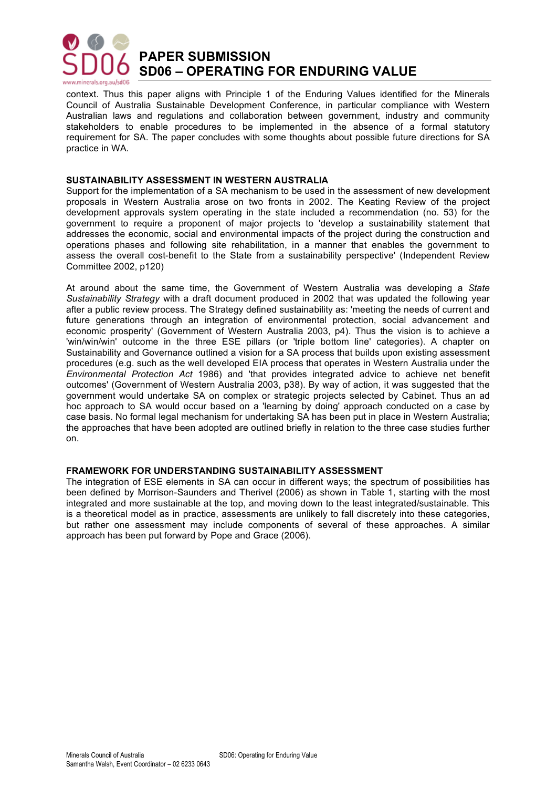

context. Thus this paper aligns with Principle 1 of the Enduring Values identified for the Minerals Council of Australia Sustainable Development Conference, in particular compliance with Western Australian laws and regulations and collaboration between government, industry and community stakeholders to enable procedures to be implemented in the absence of a formal statutory requirement for SA. The paper concludes with some thoughts about possible future directions for SA practice in WA.

#### **SUSTAINABILITY ASSESSMENT IN WESTERN AUSTRALIA**

Support for the implementation of a SA mechanism to be used in the assessment of new development proposals in Western Australia arose on two fronts in 2002. The Keating Review of the project development approvals system operating in the state included a recommendation (no. 53) for the government to require a proponent of major projects to 'develop a sustainability statement that addresses the economic, social and environmental impacts of the project during the construction and operations phases and following site rehabilitation, in a manner that enables the government to assess the overall cost-benefit to the State from a sustainability perspective' (Independent Review Committee 2002, p120)

At around about the same time, the Government of Western Australia was developing a *State Sustainability Strategy* with a draft document produced in 2002 that was updated the following year after a public review process. The Strategy defined sustainability as: 'meeting the needs of current and future generations through an integration of environmental protection, social advancement and economic prosperity' (Government of Western Australia 2003, p4). Thus the vision is to achieve a 'win/win/win' outcome in the three ESE pillars (or 'triple bottom line' categories). A chapter on Sustainability and Governance outlined a vision for a SA process that builds upon existing assessment procedures (e.g. such as the well developed EIA process that operates in Western Australia under the *Environmental Protection Act* 1986) and 'that provides integrated advice to achieve net benefit outcomes' (Government of Western Australia 2003, p38). By way of action, it was suggested that the government would undertake SA on complex or strategic projects selected by Cabinet. Thus an ad hoc approach to SA would occur based on a 'learning by doing' approach conducted on a case by case basis. No formal legal mechanism for undertaking SA has been put in place in Western Australia; the approaches that have been adopted are outlined briefly in relation to the three case studies further on.

#### **FRAMEWORK FOR UNDERSTANDING SUSTAINABILITY ASSESSMENT**

The integration of ESE elements in SA can occur in different ways; the spectrum of possibilities has been defined by Morrison-Saunders and Therivel (2006) as shown in Table 1, starting with the most integrated and more sustainable at the top, and moving down to the least integrated/sustainable. This is a theoretical model as in practice, assessments are unlikely to fall discretely into these categories, but rather one assessment may include components of several of these approaches. A similar approach has been put forward by Pope and Grace (2006).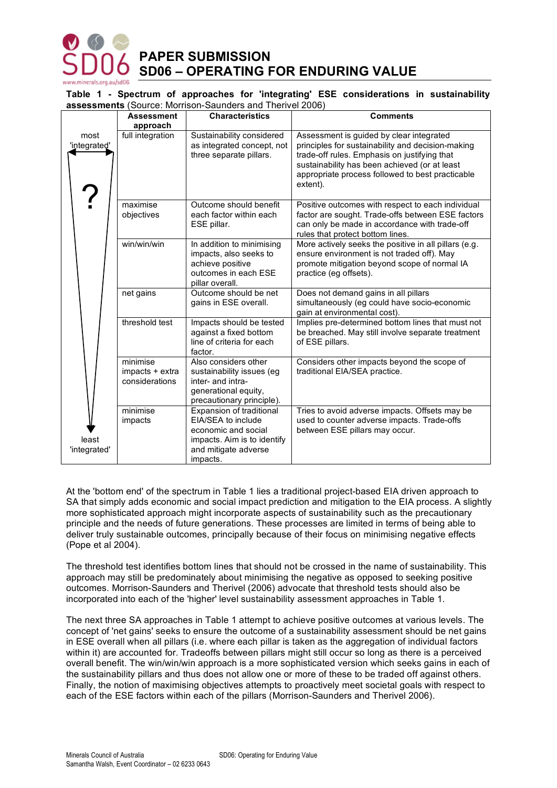# **PAPER SUBMISSION SD06 – OPERATING FOR ENDURING VALUE** ww.minerals.org.au/sd06

**Table 1 - Spectrum of approaches for 'integrating' ESE considerations in sustainability assessments** (Source: Morrison-Saunders and Therivel 2006)

|                       | <b>Assessment</b>                             | $\alpha$ 33633 $\alpha$ ichts (Oduce, Montson-Odunueis and Thenver 2000)<br><b>Characteristics</b>                                       | <b>Comments</b>                                                                                                                                                                                                                                                |
|-----------------------|-----------------------------------------------|------------------------------------------------------------------------------------------------------------------------------------------|----------------------------------------------------------------------------------------------------------------------------------------------------------------------------------------------------------------------------------------------------------------|
|                       | approach                                      |                                                                                                                                          |                                                                                                                                                                                                                                                                |
| most<br>'integrated'  | full integration                              | Sustainability considered<br>as integrated concept, not<br>three separate pillars.                                                       | Assessment is guided by clear integrated<br>principles for sustainability and decision-making<br>trade-off rules. Emphasis on justifying that<br>sustainability has been achieved (or at least<br>appropriate process followed to best practicable<br>extent). |
|                       | maximise<br>objectives                        | Outcome should benefit<br>each factor within each<br>ESE pillar.                                                                         | Positive outcomes with respect to each individual<br>factor are sought. Trade-offs between ESE factors<br>can only be made in accordance with trade-off<br>rules that protect bottom lines.                                                                    |
|                       | win/win/win                                   | In addition to minimising<br>impacts, also seeks to<br>achieve positive<br>outcomes in each ESE<br>pillar overall.                       | More actively seeks the positive in all pillars (e.g.<br>ensure environment is not traded off). May<br>promote mitigation beyond scope of normal IA<br>practice (eg offsets).                                                                                  |
|                       | net gains                                     | Outcome should be net<br>gains in ESE overall.                                                                                           | Does not demand gains in all pillars<br>simultaneously (eg could have socio-economic<br>gain at environmental cost).                                                                                                                                           |
|                       | threshold test                                | Impacts should be tested<br>against a fixed bottom<br>line of criteria for each<br>factor.                                               | Implies pre-determined bottom lines that must not<br>be breached. May still involve separate treatment<br>of ESE pillars.                                                                                                                                      |
|                       | minimise<br>impacts + extra<br>considerations | Also considers other<br>sustainability issues (eg<br>inter- and intra-<br>generational equity,<br>precautionary principle).              | Considers other impacts beyond the scope of<br>traditional EIA/SEA practice.                                                                                                                                                                                   |
| least<br>'integrated' | minimise<br>impacts                           | Expansion of traditional<br>EIA/SEA to include<br>economic and social<br>impacts. Aim is to identify<br>and mitigate adverse<br>impacts. | Tries to avoid adverse impacts. Offsets may be<br>used to counter adverse impacts. Trade-offs<br>between ESE pillars may occur.                                                                                                                                |

At the 'bottom end' of the spectrum in Table 1 lies a traditional project-based EIA driven approach to SA that simply adds economic and social impact prediction and mitigation to the EIA process. A slightly more sophisticated approach might incorporate aspects of sustainability such as the precautionary principle and the needs of future generations. These processes are limited in terms of being able to deliver truly sustainable outcomes, principally because of their focus on minimising negative effects (Pope et al 2004).

The threshold test identifies bottom lines that should not be crossed in the name of sustainability. This approach may still be predominately about minimising the negative as opposed to seeking positive outcomes. Morrison-Saunders and Therivel (2006) advocate that threshold tests should also be incorporated into each of the 'higher' level sustainability assessment approaches in Table 1.

The next three SA approaches in Table 1 attempt to achieve positive outcomes at various levels. The concept of 'net gains' seeks to ensure the outcome of a sustainability assessment should be net gains in ESE overall when all pillars (i.e. where each pillar is taken as the aggregation of individual factors within it) are accounted for. Tradeoffs between pillars might still occur so long as there is a perceived overall benefit. The win/win/win approach is a more sophisticated version which seeks gains in each of the sustainability pillars and thus does not allow one or more of these to be traded off against others. Finally, the notion of maximising objectives attempts to proactively meet societal goals with respect to each of the ESE factors within each of the pillars (Morrison-Saunders and Therivel 2006).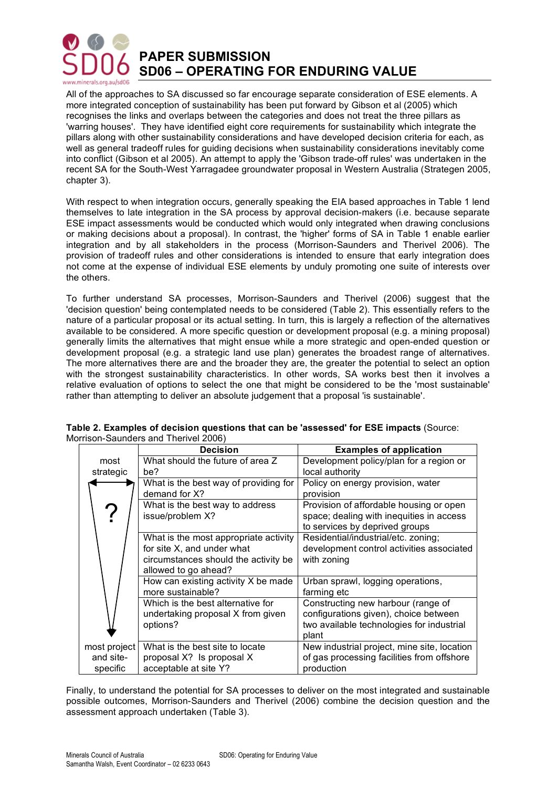

All of the approaches to SA discussed so far encourage separate consideration of ESE elements. A more integrated conception of sustainability has been put forward by Gibson et al (2005) which recognises the links and overlaps between the categories and does not treat the three pillars as 'warring houses'. They have identified eight core requirements for sustainability which integrate the pillars along with other sustainability considerations and have developed decision criteria for each, as well as general tradeoff rules for guiding decisions when sustainability considerations inevitably come into conflict (Gibson et al 2005). An attempt to apply the 'Gibson trade-off rules' was undertaken in the recent SA for the South-West Yarragadee groundwater proposal in Western Australia (Strategen 2005, chapter 3).

With respect to when integration occurs, generally speaking the EIA based approaches in Table 1 lend themselves to late integration in the SA process by approval decision-makers (i.e. because separate ESE impact assessments would be conducted which would only integrated when drawing conclusions or making decisions about a proposal). In contrast, the 'higher' forms of SA in Table 1 enable earlier integration and by all stakeholders in the process (Morrison-Saunders and Therivel 2006). The provision of tradeoff rules and other considerations is intended to ensure that early integration does not come at the expense of individual ESE elements by unduly promoting one suite of interests over the others.

To further understand SA processes, Morrison-Saunders and Therivel (2006) suggest that the 'decision question' being contemplated needs to be considered (Table 2). This essentially refers to the nature of a particular proposal or its actual setting. In turn, this is largely a reflection of the alternatives available to be considered. A more specific question or development proposal (e.g. a mining proposal) generally limits the alternatives that might ensue while a more strategic and open-ended question or development proposal (e.g. a strategic land use plan) generates the broadest range of alternatives. The more alternatives there are and the broader they are, the greater the potential to select an option with the strongest sustainability characteristics. In other words, SA works best then it involves a relative evaluation of options to select the one that might be considered to be the 'most sustainable' rather than attempting to deliver an absolute judgement that a proposal 'is sustainable'.

|              | <b>Decision</b>                       | <b>Examples of application</b>              |
|--------------|---------------------------------------|---------------------------------------------|
| most         | What should the future of area Z      | Development policy/plan for a region or     |
| strategic    | be?                                   | local authority                             |
|              | What is the best way of providing for | Policy on energy provision, water           |
|              | demand for X?                         | provision                                   |
|              | What is the best way to address       | Provision of affordable housing or open     |
| $\bm{?}$     | issue/problem X?                      | space; dealing with inequities in access    |
|              |                                       | to services by deprived groups              |
|              | What is the most appropriate activity | Residential/industrial/etc. zoning;         |
|              | for site X, and under what            | development control activities associated   |
|              | circumstances should the activity be  | with zoning                                 |
|              | allowed to go ahead?                  |                                             |
|              | How can existing activity X be made   | Urban sprawl, logging operations,           |
|              | more sustainable?                     | farming etc                                 |
|              | Which is the best alternative for     | Constructing new harbour (range of          |
|              | undertaking proposal X from given     | configurations given), choice between       |
|              | options?                              | two available technologies for industrial   |
|              |                                       | plant                                       |
| most project | What is the best site to locate       | New industrial project, mine site, location |
| and site-    | proposal X? Is proposal X             | of gas processing facilities from offshore  |
| specific     | acceptable at site Y?                 | production                                  |

**Table 2. Examples of decision questions that can be 'assessed' for ESE impacts** (Source: Morrison-Saunders and Therivel 2006)

Finally, to understand the potential for SA processes to deliver on the most integrated and sustainable possible outcomes, Morrison-Saunders and Therivel (2006) combine the decision question and the assessment approach undertaken (Table 3).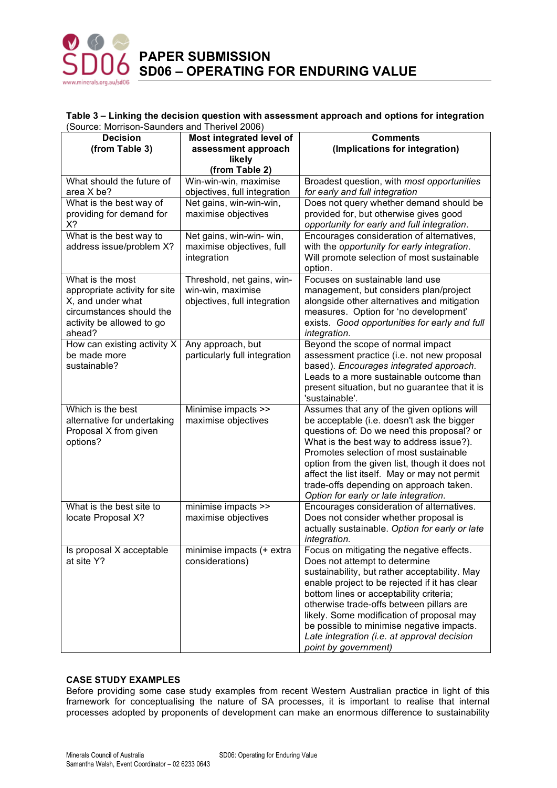

#### **Table 3 – Linking the decision question with assessment approach and options for integration** (Source: Morrison-Saunders and Therivel 2006)

| (from Table 3)<br>(Implications for integration)<br>assessment approach<br>likely<br>(from Table 2)<br>Win-win-win, maximise<br>What should the future of<br>Broadest question, with most opportunities<br>area X be?<br>objectives, full integration<br>for early and full integration<br>What is the best way of<br>Net gains, win-win-win,<br>Does not query whether demand should be<br>maximise objectives<br>providing for demand for<br>provided for, but otherwise gives good<br>X?<br>opportunity for early and full integration.<br>What is the best way to<br>Encourages consideration of alternatives,<br>Net gains, win-win- win,<br>maximise objectives, full<br>address issue/problem X?<br>with the opportunity for early integration.<br>integration<br>Will promote selection of most sustainable<br>option.<br>What is the most<br>Focuses on sustainable land use<br>Threshold, net gains, win-<br>win-win, maximise<br>management, but considers plan/project<br>appropriate activity for site<br>X, and under what<br>objectives, full integration<br>alongside other alternatives and mitigation<br>circumstances should the<br>measures. Option for 'no development'<br>activity be allowed to go<br>exists. Good opportunities for early and full<br>ahead?<br>integration.<br>How can existing activity X<br>Any approach, but<br>Beyond the scope of normal impact<br>be made more<br>particularly full integration<br>assessment practice (i.e. not new proposal<br>based). Encourages integrated approach.<br>sustainable?<br>Leads to a more sustainable outcome than<br>present situation, but no guarantee that it is<br>'sustainable'.<br>Which is the best<br>Minimise impacts >><br>Assumes that any of the given options will<br>alternative for undertaking<br>maximise objectives<br>be acceptable (i.e. doesn't ask the bigger<br>questions of: Do we need this proposal? or<br>Proposal X from given<br>What is the best way to address issue?).<br>options?<br>Promotes selection of most sustainable<br>option from the given list, though it does not<br>affect the list itself. May or may not permit<br>trade-offs depending on approach taken.<br>Option for early or late integration.<br>What is the best site to<br>Encourages consideration of alternatives.<br>minimise impacts >><br>locate Proposal X?<br>maximise objectives<br>Does not consider whether proposal is |
|-----------------------------------------------------------------------------------------------------------------------------------------------------------------------------------------------------------------------------------------------------------------------------------------------------------------------------------------------------------------------------------------------------------------------------------------------------------------------------------------------------------------------------------------------------------------------------------------------------------------------------------------------------------------------------------------------------------------------------------------------------------------------------------------------------------------------------------------------------------------------------------------------------------------------------------------------------------------------------------------------------------------------------------------------------------------------------------------------------------------------------------------------------------------------------------------------------------------------------------------------------------------------------------------------------------------------------------------------------------------------------------------------------------------------------------------------------------------------------------------------------------------------------------------------------------------------------------------------------------------------------------------------------------------------------------------------------------------------------------------------------------------------------------------------------------------------------------------------------------------------------------------------------------------------------------------------------------------------------------------------------------------------------------------------------------------------------------------------------------------------------------------------------------------------------------------------------------------------------------------------------------------------------------------------------------------------------------------------------------------------------------------------------------------------------|
|                                                                                                                                                                                                                                                                                                                                                                                                                                                                                                                                                                                                                                                                                                                                                                                                                                                                                                                                                                                                                                                                                                                                                                                                                                                                                                                                                                                                                                                                                                                                                                                                                                                                                                                                                                                                                                                                                                                                                                                                                                                                                                                                                                                                                                                                                                                                                                                                                             |
|                                                                                                                                                                                                                                                                                                                                                                                                                                                                                                                                                                                                                                                                                                                                                                                                                                                                                                                                                                                                                                                                                                                                                                                                                                                                                                                                                                                                                                                                                                                                                                                                                                                                                                                                                                                                                                                                                                                                                                                                                                                                                                                                                                                                                                                                                                                                                                                                                             |
|                                                                                                                                                                                                                                                                                                                                                                                                                                                                                                                                                                                                                                                                                                                                                                                                                                                                                                                                                                                                                                                                                                                                                                                                                                                                                                                                                                                                                                                                                                                                                                                                                                                                                                                                                                                                                                                                                                                                                                                                                                                                                                                                                                                                                                                                                                                                                                                                                             |
|                                                                                                                                                                                                                                                                                                                                                                                                                                                                                                                                                                                                                                                                                                                                                                                                                                                                                                                                                                                                                                                                                                                                                                                                                                                                                                                                                                                                                                                                                                                                                                                                                                                                                                                                                                                                                                                                                                                                                                                                                                                                                                                                                                                                                                                                                                                                                                                                                             |
|                                                                                                                                                                                                                                                                                                                                                                                                                                                                                                                                                                                                                                                                                                                                                                                                                                                                                                                                                                                                                                                                                                                                                                                                                                                                                                                                                                                                                                                                                                                                                                                                                                                                                                                                                                                                                                                                                                                                                                                                                                                                                                                                                                                                                                                                                                                                                                                                                             |
|                                                                                                                                                                                                                                                                                                                                                                                                                                                                                                                                                                                                                                                                                                                                                                                                                                                                                                                                                                                                                                                                                                                                                                                                                                                                                                                                                                                                                                                                                                                                                                                                                                                                                                                                                                                                                                                                                                                                                                                                                                                                                                                                                                                                                                                                                                                                                                                                                             |
|                                                                                                                                                                                                                                                                                                                                                                                                                                                                                                                                                                                                                                                                                                                                                                                                                                                                                                                                                                                                                                                                                                                                                                                                                                                                                                                                                                                                                                                                                                                                                                                                                                                                                                                                                                                                                                                                                                                                                                                                                                                                                                                                                                                                                                                                                                                                                                                                                             |
|                                                                                                                                                                                                                                                                                                                                                                                                                                                                                                                                                                                                                                                                                                                                                                                                                                                                                                                                                                                                                                                                                                                                                                                                                                                                                                                                                                                                                                                                                                                                                                                                                                                                                                                                                                                                                                                                                                                                                                                                                                                                                                                                                                                                                                                                                                                                                                                                                             |
|                                                                                                                                                                                                                                                                                                                                                                                                                                                                                                                                                                                                                                                                                                                                                                                                                                                                                                                                                                                                                                                                                                                                                                                                                                                                                                                                                                                                                                                                                                                                                                                                                                                                                                                                                                                                                                                                                                                                                                                                                                                                                                                                                                                                                                                                                                                                                                                                                             |
|                                                                                                                                                                                                                                                                                                                                                                                                                                                                                                                                                                                                                                                                                                                                                                                                                                                                                                                                                                                                                                                                                                                                                                                                                                                                                                                                                                                                                                                                                                                                                                                                                                                                                                                                                                                                                                                                                                                                                                                                                                                                                                                                                                                                                                                                                                                                                                                                                             |
|                                                                                                                                                                                                                                                                                                                                                                                                                                                                                                                                                                                                                                                                                                                                                                                                                                                                                                                                                                                                                                                                                                                                                                                                                                                                                                                                                                                                                                                                                                                                                                                                                                                                                                                                                                                                                                                                                                                                                                                                                                                                                                                                                                                                                                                                                                                                                                                                                             |
|                                                                                                                                                                                                                                                                                                                                                                                                                                                                                                                                                                                                                                                                                                                                                                                                                                                                                                                                                                                                                                                                                                                                                                                                                                                                                                                                                                                                                                                                                                                                                                                                                                                                                                                                                                                                                                                                                                                                                                                                                                                                                                                                                                                                                                                                                                                                                                                                                             |
|                                                                                                                                                                                                                                                                                                                                                                                                                                                                                                                                                                                                                                                                                                                                                                                                                                                                                                                                                                                                                                                                                                                                                                                                                                                                                                                                                                                                                                                                                                                                                                                                                                                                                                                                                                                                                                                                                                                                                                                                                                                                                                                                                                                                                                                                                                                                                                                                                             |
|                                                                                                                                                                                                                                                                                                                                                                                                                                                                                                                                                                                                                                                                                                                                                                                                                                                                                                                                                                                                                                                                                                                                                                                                                                                                                                                                                                                                                                                                                                                                                                                                                                                                                                                                                                                                                                                                                                                                                                                                                                                                                                                                                                                                                                                                                                                                                                                                                             |
|                                                                                                                                                                                                                                                                                                                                                                                                                                                                                                                                                                                                                                                                                                                                                                                                                                                                                                                                                                                                                                                                                                                                                                                                                                                                                                                                                                                                                                                                                                                                                                                                                                                                                                                                                                                                                                                                                                                                                                                                                                                                                                                                                                                                                                                                                                                                                                                                                             |
|                                                                                                                                                                                                                                                                                                                                                                                                                                                                                                                                                                                                                                                                                                                                                                                                                                                                                                                                                                                                                                                                                                                                                                                                                                                                                                                                                                                                                                                                                                                                                                                                                                                                                                                                                                                                                                                                                                                                                                                                                                                                                                                                                                                                                                                                                                                                                                                                                             |
|                                                                                                                                                                                                                                                                                                                                                                                                                                                                                                                                                                                                                                                                                                                                                                                                                                                                                                                                                                                                                                                                                                                                                                                                                                                                                                                                                                                                                                                                                                                                                                                                                                                                                                                                                                                                                                                                                                                                                                                                                                                                                                                                                                                                                                                                                                                                                                                                                             |
|                                                                                                                                                                                                                                                                                                                                                                                                                                                                                                                                                                                                                                                                                                                                                                                                                                                                                                                                                                                                                                                                                                                                                                                                                                                                                                                                                                                                                                                                                                                                                                                                                                                                                                                                                                                                                                                                                                                                                                                                                                                                                                                                                                                                                                                                                                                                                                                                                             |
|                                                                                                                                                                                                                                                                                                                                                                                                                                                                                                                                                                                                                                                                                                                                                                                                                                                                                                                                                                                                                                                                                                                                                                                                                                                                                                                                                                                                                                                                                                                                                                                                                                                                                                                                                                                                                                                                                                                                                                                                                                                                                                                                                                                                                                                                                                                                                                                                                             |
|                                                                                                                                                                                                                                                                                                                                                                                                                                                                                                                                                                                                                                                                                                                                                                                                                                                                                                                                                                                                                                                                                                                                                                                                                                                                                                                                                                                                                                                                                                                                                                                                                                                                                                                                                                                                                                                                                                                                                                                                                                                                                                                                                                                                                                                                                                                                                                                                                             |
|                                                                                                                                                                                                                                                                                                                                                                                                                                                                                                                                                                                                                                                                                                                                                                                                                                                                                                                                                                                                                                                                                                                                                                                                                                                                                                                                                                                                                                                                                                                                                                                                                                                                                                                                                                                                                                                                                                                                                                                                                                                                                                                                                                                                                                                                                                                                                                                                                             |
|                                                                                                                                                                                                                                                                                                                                                                                                                                                                                                                                                                                                                                                                                                                                                                                                                                                                                                                                                                                                                                                                                                                                                                                                                                                                                                                                                                                                                                                                                                                                                                                                                                                                                                                                                                                                                                                                                                                                                                                                                                                                                                                                                                                                                                                                                                                                                                                                                             |
|                                                                                                                                                                                                                                                                                                                                                                                                                                                                                                                                                                                                                                                                                                                                                                                                                                                                                                                                                                                                                                                                                                                                                                                                                                                                                                                                                                                                                                                                                                                                                                                                                                                                                                                                                                                                                                                                                                                                                                                                                                                                                                                                                                                                                                                                                                                                                                                                                             |
|                                                                                                                                                                                                                                                                                                                                                                                                                                                                                                                                                                                                                                                                                                                                                                                                                                                                                                                                                                                                                                                                                                                                                                                                                                                                                                                                                                                                                                                                                                                                                                                                                                                                                                                                                                                                                                                                                                                                                                                                                                                                                                                                                                                                                                                                                                                                                                                                                             |
|                                                                                                                                                                                                                                                                                                                                                                                                                                                                                                                                                                                                                                                                                                                                                                                                                                                                                                                                                                                                                                                                                                                                                                                                                                                                                                                                                                                                                                                                                                                                                                                                                                                                                                                                                                                                                                                                                                                                                                                                                                                                                                                                                                                                                                                                                                                                                                                                                             |
|                                                                                                                                                                                                                                                                                                                                                                                                                                                                                                                                                                                                                                                                                                                                                                                                                                                                                                                                                                                                                                                                                                                                                                                                                                                                                                                                                                                                                                                                                                                                                                                                                                                                                                                                                                                                                                                                                                                                                                                                                                                                                                                                                                                                                                                                                                                                                                                                                             |
|                                                                                                                                                                                                                                                                                                                                                                                                                                                                                                                                                                                                                                                                                                                                                                                                                                                                                                                                                                                                                                                                                                                                                                                                                                                                                                                                                                                                                                                                                                                                                                                                                                                                                                                                                                                                                                                                                                                                                                                                                                                                                                                                                                                                                                                                                                                                                                                                                             |
|                                                                                                                                                                                                                                                                                                                                                                                                                                                                                                                                                                                                                                                                                                                                                                                                                                                                                                                                                                                                                                                                                                                                                                                                                                                                                                                                                                                                                                                                                                                                                                                                                                                                                                                                                                                                                                                                                                                                                                                                                                                                                                                                                                                                                                                                                                                                                                                                                             |
|                                                                                                                                                                                                                                                                                                                                                                                                                                                                                                                                                                                                                                                                                                                                                                                                                                                                                                                                                                                                                                                                                                                                                                                                                                                                                                                                                                                                                                                                                                                                                                                                                                                                                                                                                                                                                                                                                                                                                                                                                                                                                                                                                                                                                                                                                                                                                                                                                             |
|                                                                                                                                                                                                                                                                                                                                                                                                                                                                                                                                                                                                                                                                                                                                                                                                                                                                                                                                                                                                                                                                                                                                                                                                                                                                                                                                                                                                                                                                                                                                                                                                                                                                                                                                                                                                                                                                                                                                                                                                                                                                                                                                                                                                                                                                                                                                                                                                                             |
|                                                                                                                                                                                                                                                                                                                                                                                                                                                                                                                                                                                                                                                                                                                                                                                                                                                                                                                                                                                                                                                                                                                                                                                                                                                                                                                                                                                                                                                                                                                                                                                                                                                                                                                                                                                                                                                                                                                                                                                                                                                                                                                                                                                                                                                                                                                                                                                                                             |
| actually sustainable. Option for early or late                                                                                                                                                                                                                                                                                                                                                                                                                                                                                                                                                                                                                                                                                                                                                                                                                                                                                                                                                                                                                                                                                                                                                                                                                                                                                                                                                                                                                                                                                                                                                                                                                                                                                                                                                                                                                                                                                                                                                                                                                                                                                                                                                                                                                                                                                                                                                                              |
| integration.                                                                                                                                                                                                                                                                                                                                                                                                                                                                                                                                                                                                                                                                                                                                                                                                                                                                                                                                                                                                                                                                                                                                                                                                                                                                                                                                                                                                                                                                                                                                                                                                                                                                                                                                                                                                                                                                                                                                                                                                                                                                                                                                                                                                                                                                                                                                                                                                                |
| Focus on mitigating the negative effects.<br>Is proposal X acceptable<br>minimise impacts (+ extra                                                                                                                                                                                                                                                                                                                                                                                                                                                                                                                                                                                                                                                                                                                                                                                                                                                                                                                                                                                                                                                                                                                                                                                                                                                                                                                                                                                                                                                                                                                                                                                                                                                                                                                                                                                                                                                                                                                                                                                                                                                                                                                                                                                                                                                                                                                          |
| considerations)<br>at site Y?<br>Does not attempt to determine                                                                                                                                                                                                                                                                                                                                                                                                                                                                                                                                                                                                                                                                                                                                                                                                                                                                                                                                                                                                                                                                                                                                                                                                                                                                                                                                                                                                                                                                                                                                                                                                                                                                                                                                                                                                                                                                                                                                                                                                                                                                                                                                                                                                                                                                                                                                                              |
| sustainability, but rather acceptability. May                                                                                                                                                                                                                                                                                                                                                                                                                                                                                                                                                                                                                                                                                                                                                                                                                                                                                                                                                                                                                                                                                                                                                                                                                                                                                                                                                                                                                                                                                                                                                                                                                                                                                                                                                                                                                                                                                                                                                                                                                                                                                                                                                                                                                                                                                                                                                                               |
| enable project to be rejected if it has clear                                                                                                                                                                                                                                                                                                                                                                                                                                                                                                                                                                                                                                                                                                                                                                                                                                                                                                                                                                                                                                                                                                                                                                                                                                                                                                                                                                                                                                                                                                                                                                                                                                                                                                                                                                                                                                                                                                                                                                                                                                                                                                                                                                                                                                                                                                                                                                               |
| bottom lines or acceptability criteria;                                                                                                                                                                                                                                                                                                                                                                                                                                                                                                                                                                                                                                                                                                                                                                                                                                                                                                                                                                                                                                                                                                                                                                                                                                                                                                                                                                                                                                                                                                                                                                                                                                                                                                                                                                                                                                                                                                                                                                                                                                                                                                                                                                                                                                                                                                                                                                                     |
| otherwise trade-offs between pillars are                                                                                                                                                                                                                                                                                                                                                                                                                                                                                                                                                                                                                                                                                                                                                                                                                                                                                                                                                                                                                                                                                                                                                                                                                                                                                                                                                                                                                                                                                                                                                                                                                                                                                                                                                                                                                                                                                                                                                                                                                                                                                                                                                                                                                                                                                                                                                                                    |
|                                                                                                                                                                                                                                                                                                                                                                                                                                                                                                                                                                                                                                                                                                                                                                                                                                                                                                                                                                                                                                                                                                                                                                                                                                                                                                                                                                                                                                                                                                                                                                                                                                                                                                                                                                                                                                                                                                                                                                                                                                                                                                                                                                                                                                                                                                                                                                                                                             |
| likely. Some modification of proposal may                                                                                                                                                                                                                                                                                                                                                                                                                                                                                                                                                                                                                                                                                                                                                                                                                                                                                                                                                                                                                                                                                                                                                                                                                                                                                                                                                                                                                                                                                                                                                                                                                                                                                                                                                                                                                                                                                                                                                                                                                                                                                                                                                                                                                                                                                                                                                                                   |
| be possible to minimise negative impacts.<br>Late integration (i.e. at approval decision                                                                                                                                                                                                                                                                                                                                                                                                                                                                                                                                                                                                                                                                                                                                                                                                                                                                                                                                                                                                                                                                                                                                                                                                                                                                                                                                                                                                                                                                                                                                                                                                                                                                                                                                                                                                                                                                                                                                                                                                                                                                                                                                                                                                                                                                                                                                    |

# **CASE STUDY EXAMPLES**

Before providing some case study examples from recent Western Australian practice in light of this framework for conceptualising the nature of SA processes, it is important to realise that internal processes adopted by proponents of development can make an enormous difference to sustainability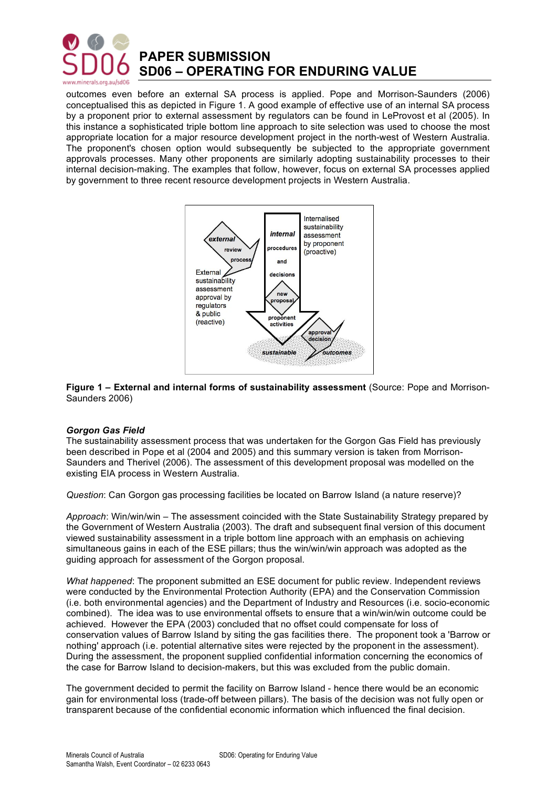

outcomes even before an external SA process is applied. Pope and Morrison-Saunders (2006) conceptualised this as depicted in Figure 1. A good example of effective use of an internal SA process by a proponent prior to external assessment by regulators can be found in LeProvost et al (2005). In this instance a sophisticated triple bottom line approach to site selection was used to choose the most appropriate location for a major resource development project in the north-west of Western Australia. The proponent's chosen option would subsequently be subjected to the appropriate government approvals processes. Many other proponents are similarly adopting sustainability processes to their internal decision-making. The examples that follow, however, focus on external SA processes applied by government to three recent resource development projects in Western Australia.



**Figure 1 – External and internal forms of sustainability assessment** (Source: Pope and Morrison-Saunders 2006)

#### *Gorgon Gas Field*

The sustainability assessment process that was undertaken for the Gorgon Gas Field has previously been described in Pope et al (2004 and 2005) and this summary version is taken from Morrison-Saunders and Therivel (2006). The assessment of this development proposal was modelled on the existing EIA process in Western Australia.

*Question*: Can Gorgon gas processing facilities be located on Barrow Island (a nature reserve)?

*Approach*: Win/win/win – The assessment coincided with the State Sustainability Strategy prepared by the Government of Western Australia (2003). The draft and subsequent final version of this document viewed sustainability assessment in a triple bottom line approach with an emphasis on achieving simultaneous gains in each of the ESE pillars; thus the win/win/win approach was adopted as the guiding approach for assessment of the Gorgon proposal.

*What happened*: The proponent submitted an ESE document for public review. Independent reviews were conducted by the Environmental Protection Authority (EPA) and the Conservation Commission (i.e. both environmental agencies) and the Department of Industry and Resources (i.e. socio-economic combined). The idea was to use environmental offsets to ensure that a win/win/win outcome could be achieved. However the EPA (2003) concluded that no offset could compensate for loss of conservation values of Barrow Island by siting the gas facilities there. The proponent took a 'Barrow or nothing' approach (i.e. potential alternative sites were rejected by the proponent in the assessment). During the assessment, the proponent supplied confidential information concerning the economics of the case for Barrow Island to decision-makers, but this was excluded from the public domain.

The government decided to permit the facility on Barrow Island - hence there would be an economic gain for environmental loss (trade-off between pillars). The basis of the decision was not fully open or transparent because of the confidential economic information which influenced the final decision.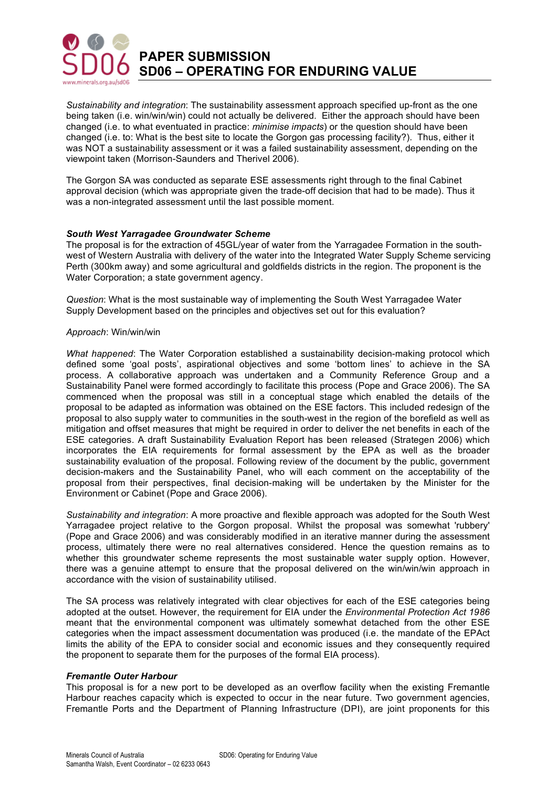

*Sustainability and integration*: The sustainability assessment approach specified up-front as the one being taken (i.e. win/win/win) could not actually be delivered. Either the approach should have been changed (i.e. to what eventuated in practice: *minimise impacts*) or the question should have been changed (i.e. to: What is the best site to locate the Gorgon gas processing facility?). Thus, either it was NOT a sustainability assessment or it was a failed sustainability assessment, depending on the viewpoint taken (Morrison-Saunders and Therivel 2006).

The Gorgon SA was conducted as separate ESE assessments right through to the final Cabinet approval decision (which was appropriate given the trade-off decision that had to be made). Thus it was a non-integrated assessment until the last possible moment.

#### *South West Yarragadee Groundwater Scheme*

The proposal is for the extraction of 45GL/year of water from the Yarragadee Formation in the southwest of Western Australia with delivery of the water into the Integrated Water Supply Scheme servicing Perth (300km away) and some agricultural and goldfields districts in the region. The proponent is the Water Corporation; a state government agency.

*Question*: What is the most sustainable way of implementing the South West Yarragadee Water Supply Development based on the principles and objectives set out for this evaluation?

#### *Approach*: Win/win/win

*What happened*: The Water Corporation established a sustainability decision-making protocol which defined some 'goal posts', aspirational objectives and some 'bottom lines' to achieve in the SA process. A collaborative approach was undertaken and a Community Reference Group and a Sustainability Panel were formed accordingly to facilitate this process (Pope and Grace 2006). The SA commenced when the proposal was still in a conceptual stage which enabled the details of the proposal to be adapted as information was obtained on the ESE factors. This included redesign of the proposal to also supply water to communities in the south-west in the region of the borefield as well as mitigation and offset measures that might be required in order to deliver the net benefits in each of the ESE categories. A draft Sustainability Evaluation Report has been released (Strategen 2006) which incorporates the EIA requirements for formal assessment by the EPA as well as the broader sustainability evaluation of the proposal. Following review of the document by the public, government decision-makers and the Sustainability Panel, who will each comment on the acceptability of the proposal from their perspectives, final decision-making will be undertaken by the Minister for the Environment or Cabinet (Pope and Grace 2006).

*Sustainability and integration*: A more proactive and flexible approach was adopted for the South West Yarragadee project relative to the Gorgon proposal. Whilst the proposal was somewhat 'rubbery' (Pope and Grace 2006) and was considerably modified in an iterative manner during the assessment process, ultimately there were no real alternatives considered. Hence the question remains as to whether this groundwater scheme represents the most sustainable water supply option. However, there was a genuine attempt to ensure that the proposal delivered on the win/win/win approach in accordance with the vision of sustainability utilised.

The SA process was relatively integrated with clear objectives for each of the ESE categories being adopted at the outset. However, the requirement for EIA under the *Environmental Protection Act 1986* meant that the environmental component was ultimately somewhat detached from the other ESE categories when the impact assessment documentation was produced (i.e. the mandate of the EPAct limits the ability of the EPA to consider social and economic issues and they consequently required the proponent to separate them for the purposes of the formal EIA process).

#### *Fremantle Outer Harbour*

This proposal is for a new port to be developed as an overflow facility when the existing Fremantle Harbour reaches capacity which is expected to occur in the near future. Two government agencies, Fremantle Ports and the Department of Planning Infrastructure (DPI), are joint proponents for this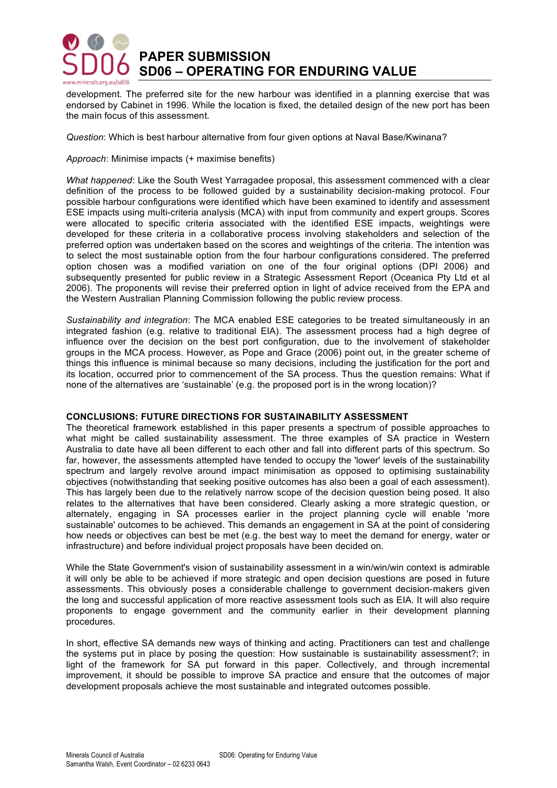

development. The preferred site for the new harbour was identified in a planning exercise that was endorsed by Cabinet in 1996. While the location is fixed, the detailed design of the new port has been the main focus of this assessment.

*Question*: Which is best harbour alternative from four given options at Naval Base/Kwinana?

*Approach*: Minimise impacts (+ maximise benefits)

*What happened*: Like the South West Yarragadee proposal, this assessment commenced with a clear definition of the process to be followed guided by a sustainability decision-making protocol. Four possible harbour configurations were identified which have been examined to identify and assessment ESE impacts using multi-criteria analysis (MCA) with input from community and expert groups. Scores were allocated to specific criteria associated with the identified ESE impacts, weightings were developed for these criteria in a collaborative process involving stakeholders and selection of the preferred option was undertaken based on the scores and weightings of the criteria. The intention was to select the most sustainable option from the four harbour configurations considered. The preferred option chosen was a modified variation on one of the four original options (DPI 2006) and subsequently presented for public review in a Strategic Assessment Report (Oceanica Pty Ltd et al 2006). The proponents will revise their preferred option in light of advice received from the EPA and the Western Australian Planning Commission following the public review process.

*Sustainability and integration*: The MCA enabled ESE categories to be treated simultaneously in an integrated fashion (e.g. relative to traditional EIA). The assessment process had a high degree of influence over the decision on the best port configuration, due to the involvement of stakeholder groups in the MCA process. However, as Pope and Grace (2006) point out, in the greater scheme of things this influence is minimal because so many decisions, including the justification for the port and its location, occurred prior to commencement of the SA process. Thus the question remains: What if none of the alternatives are 'sustainable' (e.g. the proposed port is in the wrong location)?

### **CONCLUSIONS: FUTURE DIRECTIONS FOR SUSTAINABILITY ASSESSMENT**

The theoretical framework established in this paper presents a spectrum of possible approaches to what might be called sustainability assessment. The three examples of SA practice in Western Australia to date have all been different to each other and fall into different parts of this spectrum. So far, however, the assessments attempted have tended to occupy the 'lower' levels of the sustainability spectrum and largely revolve around impact minimisation as opposed to optimising sustainability objectives (notwithstanding that seeking positive outcomes has also been a goal of each assessment). This has largely been due to the relatively narrow scope of the decision question being posed. It also relates to the alternatives that have been considered. Clearly asking a more strategic question, or alternately, engaging in SA processes earlier in the project planning cycle will enable 'more sustainable' outcomes to be achieved. This demands an engagement in SA at the point of considering how needs or objectives can best be met (e.g. the best way to meet the demand for energy, water or infrastructure) and before individual project proposals have been decided on.

While the State Government's vision of sustainability assessment in a win/win/win context is admirable it will only be able to be achieved if more strategic and open decision questions are posed in future assessments. This obviously poses a considerable challenge to government decision-makers given the long and successful application of more reactive assessment tools such as EIA. It will also require proponents to engage government and the community earlier in their development planning procedures.

In short, effective SA demands new ways of thinking and acting. Practitioners can test and challenge the systems put in place by posing the question: How sustainable is sustainability assessment?; in light of the framework for SA put forward in this paper. Collectively, and through incremental improvement, it should be possible to improve SA practice and ensure that the outcomes of major development proposals achieve the most sustainable and integrated outcomes possible.